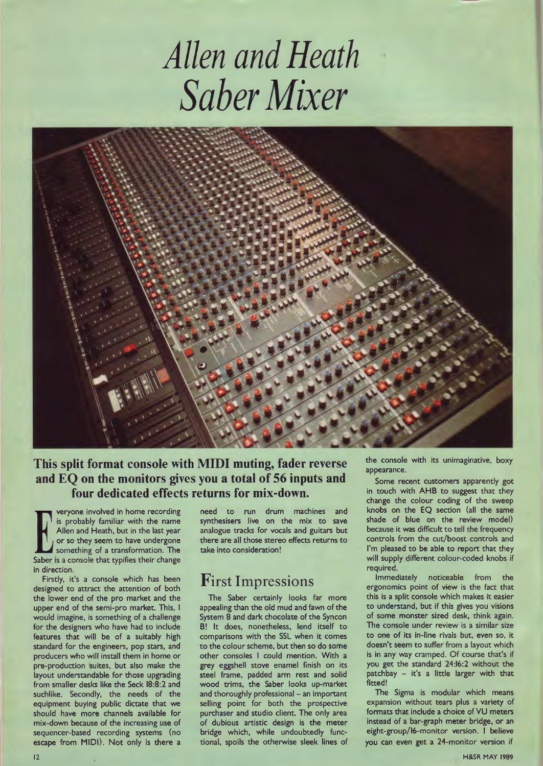# *Allen and Heath Saber Mixer*



#### This split format console with MIDI muting, fader reverse and EQ on the monitors gives you a total of 56 inputs and four dedicated effects returns for mix-down.

Veryone involved in home recording<br>
Saber is probably familiar with the name<br>
Allen and Heath, but in the last year<br>
or so they seem to have undergone<br>
Saber is a console that typifies their change is probably familiar with the name Allen and Heath, but in the last year or so they seem to have undergone something of a transformation. The in direction.

Firstly, it's a console which has been designed to attract the attention of both the lower end of the pro market and the upper end of the semi-pro market. This, I would imagine, is something of a challenge for the designers who have had to include features that will be of a suitably high standard for the engineers, pop stars, and producers who will install them in home or pre-production 'suites, but also make the layout understandable for those upgrading from smaller desks like the Seck 18:8:2 and suchlike. Secondly, the needs of the equipment buying public dictate that we should have more channels available for mix-down because of the increasing use of sequencer-based recording systems (no escape from MIDI). Not only is there a need to run drum machines and synthesisers live on the mix to save analogue tracks for vocals and guitars but there are all those stereo effects returns to take into consideration!

#### First Impressions

The Saber certainly looks far more appealing than the old mud and fawn of the System 8 and dark chocolate of the Syncon B! It does, nonetheless, lend itself to comparisons with the SSL when it comes to the colour scheme, but then so do some other consoles I could mention. With a grey eggshell stove enamel finish on its steel frame, padded arm rest and solid wood trims, the Saber looks up-market and thoroughly professional - an important selling point for both the prospective purchaser and studio client. The only area of dubious artistic design is the meter bridge which, while undoubtedly functional, spoils the otherwise sleek lines of the console with its unimaginative, boxy appearance.

Some recent customers apparently got in touch with AHB to suggest that they change the colour coding of the sweep knobs on the EQ section (all the same shade of blue on the review model) because it was difficult to tell the frequency controls from the cut/boost controls and I'm pleased to be able to report that they will supply different colour-coded knobs if required.

Immediately noticeable from the ergonomics point of view is the fact that this is a split console which makes it easier to understand, but if this gives you visions of some monster sized desk, think again. The console under review is a similar size to one of its in-line rivals but, even so, it doesn't seem to suffer from a layout which is in any way cramped. Of course that's if you get the standard 24:16:2 without the patchbay - it's a little larger with that fitted!

The Sigma is modular which means expansion without tears plus a variety of formats that include a choice of VU meters instead of a bar-graph meter bridge, or an eight-group/16-monitor version. I believe you can even get a 24-monitor version if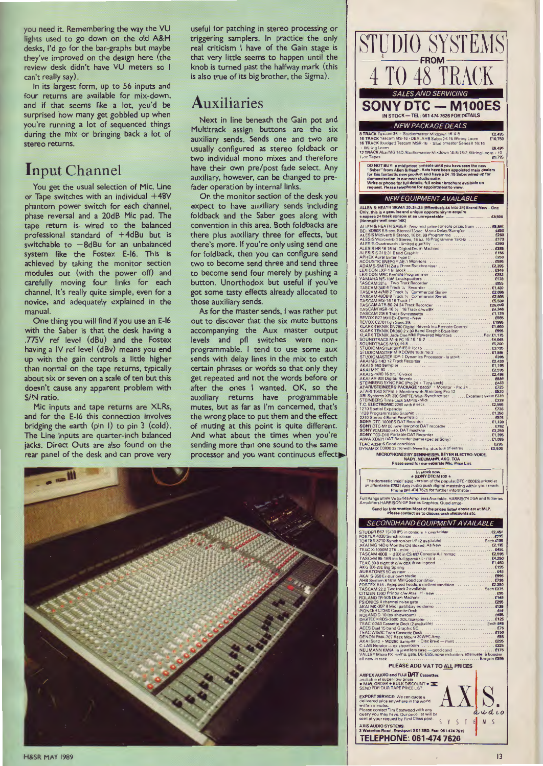you need it. Remembering the way the VU lights used to go down on the old A&H desks, I'd go for the bar-graphs but maybe they've improved on the design here (the review desk didn't have VU meters so I can't really say).

In its largest form, up to 56 inputs and four returns are available for mix-down, and if that seems like a lot, you'd be surprised how many get gobbled up when you're running a lot of sequenced things during the mix or bringing back a lot of stereo returns.

#### Input Channel

You get the usual selection of Mic, Line or Tape switches with an individual +48V phantom power switch for each channel, phase reversal and a 20dB Mic pad. The tape return is wired to the balanced professional standard of +4dBu but is switchable to  $-8$ dBu for an unbalanced system like the Fostex E-16. This is achieved by taking the monitor section modules out (with the power off) and carefully moving four links for each channel. It's really quite simple, even for a novice, and adequately explained in the manual.

One thing you will find if you use an E-16 with the Saber is that the desk having a .77SV ref level (dBu) and the Fostex having a IV ref level (dBv) means you end up with the gain controls a little higher than normal on the tape returns, typically about six or seven on a scale of ten but this doesn't cause any apparent problem with S/N ratio.

Mic inputs and tape returns are XLRs, and for the E-16 this connection involves bridging the earth (pin I) to pin 3 (cold). The Line inputs are quarter-inch balanced jacks. Direct Outs are also found on the rear panel of the desk and can prove very

useful for patching in stereo processing or triggering samplers. In practice the only real criticism I have of the Gain stage is that very little seems to happen until the knob is turned past the halfway mark (this is also true of its big brother, the Sigma).

### Auxiliaries

Next in line beneath the Gain pot and Multitrack assign buttons are the six auxiliary sends. Sends one and two are usually configured as stereo foldback or two individual mono mixes and therefore have their own pre/post fade select. Any auxiliary, however, can be changed to prefader operation by internal links.

On the monitor section of the desk you expect to have auxiliary sends including foldback and the Saber goes along with convention in this area. Both foldbacks are there plus auxiliary three for effects, but there's more. If you're only using send one for foldback, then you can configure send two to become send three and send three to become send four merely by pushing a button. Unorthodox but useful if you've got some tasty effects already allocated to those auxiliary sends.

As for the master sends, I was rather put out to discover that the six mute buttons accompanying the Aux master output levels and pfl switches were nonprogrammable. I tend to use some aux sends with delay lines in the mix to catch certain phrases or words so that only they get repeated and not the words before or after the ones I wanted. OK, so the auxiliary returns have programmable mutes, but as far as I'm concerned, that's the wrong place to put them and the effect of muting at this point is quite different. And what about the times when you're sending more than one sound to the same processor and you want continuous effect